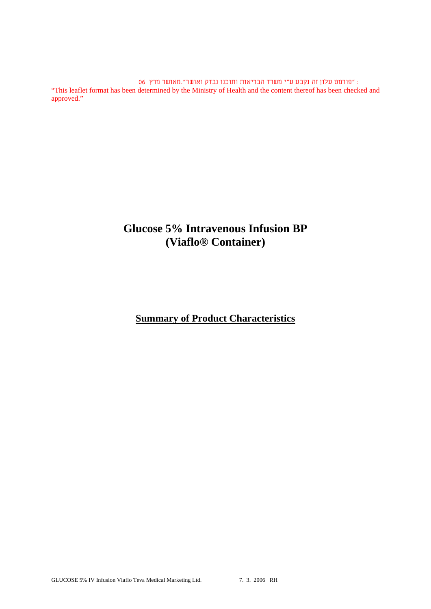: "פורמט עלון זה נקבע ע"י משרד הבריאות ותוכנו נבדק ואושר".מאושר מרץ 06 "This leaflet format has been determined by the Ministry of Health and the content thereof has been checked and approved."

# **Glucose 5% Intravenous Infusion BP (Viaflo® Container)**

## **Summary of Product Characteristics**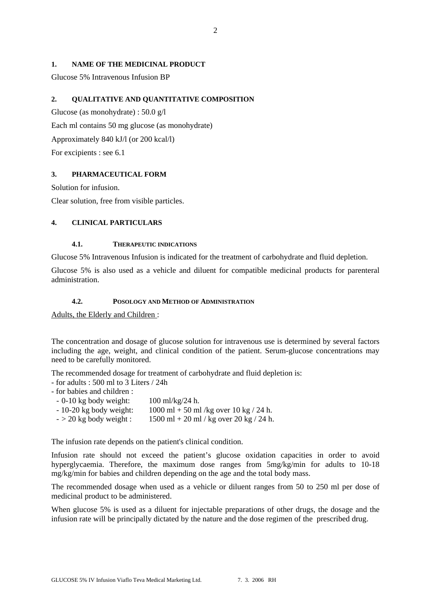## **1. NAME OF THE MEDICINAL PRODUCT**

Glucose 5% Intravenous Infusion BP

## **2. QUALITATIVE AND QUANTITATIVE COMPOSITION**

Glucose (as monohydrate) : 50.0 g/l Each ml contains 50 mg glucose (as monohydrate) Approximately 840 kJ/l (or 200 kcal/l) For excipients : see 6.1

#### **3. PHARMACEUTICAL FORM**

Solution for infusion.

Clear solution, free from visible particles.

## **4. CLINICAL PARTICULARS**

#### **4.1. THERAPEUTIC INDICATIONS**

Glucose 5% Intravenous Infusion is indicated for the treatment of carbohydrate and fluid depletion.

Glucose 5% is also used as a vehicle and diluent for compatible medicinal products for parenteral administration.

#### **4.2. POSOLOGY AND METHOD OF ADMINISTRATION**

Adults, the Elderly and Children :

The concentration and dosage of glucose solution for intravenous use is determined by several factors including the age, weight, and clinical condition of the patient. Serum-glucose concentrations may need to be carefully monitored.

The recommended dosage for treatment of carbohydrate and fluid depletion is:

- for adults : 500 ml to 3 Liters / 24h
- for babies and children :
- $0.10$  kg body weight:  $100$  ml/kg/24 h.  $- 10-20$  kg body weight:  $1000$  ml  $+ 50$  ml /kg over  $10$  kg / 24 h.  $-$  > 20 kg body weight : 1500 ml + 20 ml / kg over 20 kg / 24 h.

The infusion rate depends on the patient's clinical condition.

Infusion rate should not exceed the patient's glucose oxidation capacities in order to avoid hyperglycaemia. Therefore, the maximum dose ranges from  $5mg/kg/min$  for adults to 10-18 mg/kg/min for babies and children depending on the age and the total body mass.

The recommended dosage when used as a vehicle or diluent ranges from 50 to 250 ml per dose of medicinal product to be administered.

When glucose 5% is used as a diluent for injectable preparations of other drugs, the dosage and the infusion rate will be principally dictated by the nature and the dose regimen of the prescribed drug.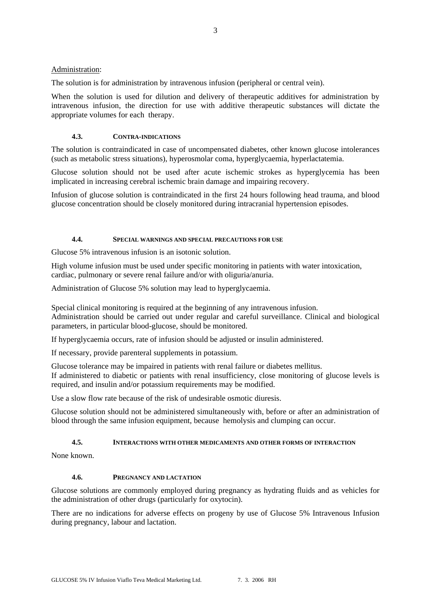## Administration:

The solution is for administration by intravenous infusion (peripheral or central vein).

When the solution is used for dilution and delivery of therapeutic additives for administration by intravenous infusion, the direction for use with additive therapeutic substances will dictate the appropriate volumes for each therapy.

## **4.3. CONTRA-INDICATIONS**

The solution is contraindicated in case of uncompensated diabetes, other known glucose intolerances (such as metabolic stress situations), hyperosmolar coma, hyperglycaemia, hyperlactatemia.

Glucose solution should not be used after acute ischemic strokes as hyperglycemia has been implicated in increasing cerebral ischemic brain damage and impairing recovery.

Infusion of glucose solution is contraindicated in the first 24 hours following head trauma, and blood glucose concentration should be closely monitored during intracranial hypertension episodes.

## **4.4. SPECIAL WARNINGS AND SPECIAL PRECAUTIONS FOR USE**

Glucose 5% intravenous infusion is an isotonic solution.

High volume infusion must be used under specific monitoring in patients with water intoxication, cardiac, pulmonary or severe renal failure and/or with oliguria/anuria.

Administration of Glucose 5% solution may lead to hyperglycaemia.

Special clinical monitoring is required at the beginning of any intravenous infusion. Administration should be carried out under regular and careful surveillance. Clinical and biological parameters, in particular blood-glucose, should be monitored.

If hyperglycaemia occurs, rate of infusion should be adjusted or insulin administered.

If necessary, provide parenteral supplements in potassium.

Glucose tolerance may be impaired in patients with renal failure or diabetes mellitus. If administered to diabetic or patients with renal insufficiency, close monitoring of glucose levels is required, and insulin and/or potassium requirements may be modified.

Use a slow flow rate because of the risk of undesirable osmotic diuresis.

Glucose solution should not be administered simultaneously with, before or after an administration of blood through the same infusion equipment, because hemolysis and clumping can occur.

## **4.5. INTERACTIONS WITH OTHER MEDICAMENTS AND OTHER FORMS OF INTERACTION**

None known.

#### **4.6. PREGNANCY AND LACTATION**

Glucose solutions are commonly employed during pregnancy as hydrating fluids and as vehicles for the administration of other drugs (particularly for oxytocin).

There are no indications for adverse effects on progeny by use of Glucose 5% Intravenous Infusion during pregnancy, labour and lactation.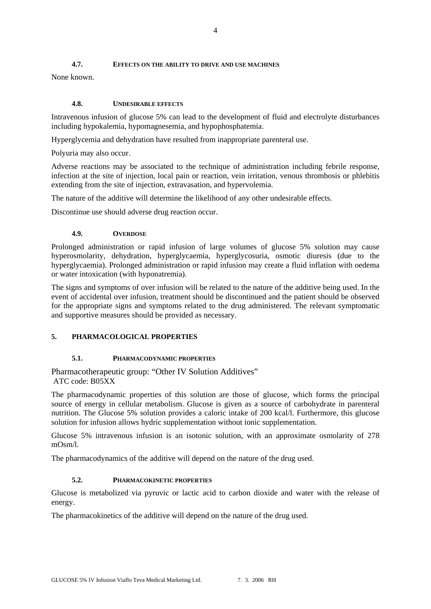## **4.7. EFFECTS ON THE ABILITY TO DRIVE AND USE MACHINES**

None known.

## **4.8. UNDESIRABLE EFFECTS**

Intravenous infusion of glucose 5% can lead to the development of fluid and electrolyte disturbances including hypokalemia, hypomagnesemia, and hypophosphatemia.

Hyperglycemia and dehydration have resulted from inappropriate parenteral use.

Polyuria may also occur.

Adverse reactions may be associated to the technique of administration including febrile response, infection at the site of injection, local pain or reaction, vein irritation, venous thrombosis or phlebitis extending from the site of injection, extravasation, and hypervolemia.

The nature of the additive will determine the likelihood of any other undesirable effects.

Discontinue use should adverse drug reaction occur.

#### **4.9. OVERDOSE**

Prolonged administration or rapid infusion of large volumes of glucose 5% solution may cause hyperosmolarity, dehydration, hyperglycaemia, hyperglycosuria, osmotic diuresis (due to the hyperglycaemia). Prolonged administration or rapid infusion may create a fluid inflation with oedema or water intoxication (with hyponatremia).

The signs and symptoms of over infusion will be related to the nature of the additive being used. In the event of accidental over infusion, treatment should be discontinued and the patient should be observed for the appropriate signs and symptoms related to the drug administered. The relevant symptomatic and supportive measures should be provided as necessary.

## **5. PHARMACOLOGICAL PROPERTIES**

## **5.1. PHARMACODYNAMIC PROPERTIES**

Pharmacotherapeutic group: "Other IV Solution Additives" ATC code: B05XX

The pharmacodynamic properties of this solution are those of glucose, which forms the principal source of energy in cellular metabolism. Glucose is given as a source of carbohydrate in parenteral nutrition. The Glucose 5% solution provides a caloric intake of 200 kcal/l. Furthermore, this glucose solution for infusion allows hydric supplementation without ionic supplementation.

Glucose 5% intravenous infusion is an isotonic solution, with an approximate osmolarity of 278 mOsm/l.

The pharmacodynamics of the additive will depend on the nature of the drug used.

## **5.2. PHARMACOKINETIC PROPERTIES**

Glucose is metabolized via pyruvic or lactic acid to carbon dioxide and water with the release of energy.

The pharmacokinetics of the additive will depend on the nature of the drug used.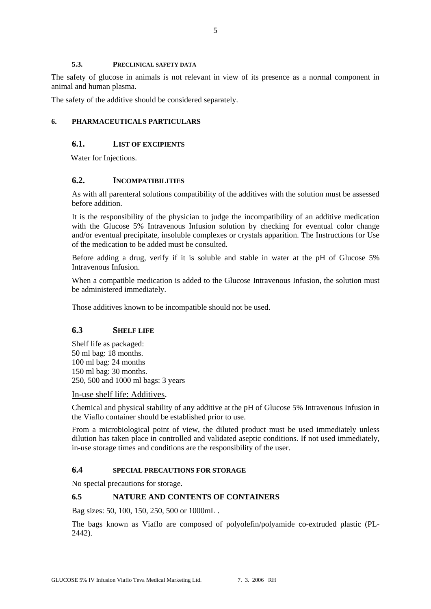#### **5.3. PRECLINICAL SAFETY DATA**

The safety of glucose in animals is not relevant in view of its presence as a normal component in animal and human plasma.

The safety of the additive should be considered separately.

## **6. PHARMACEUTICALS PARTICULARS**

## **6.1. LIST OF EXCIPIENTS**

Water for Injections.

## **6.2. INCOMPATIBILITIES**

As with all parenteral solutions compatibility of the additives with the solution must be assessed before addition.

It is the responsibility of the physician to judge the incompatibility of an additive medication with the Glucose 5% Intravenous Infusion solution by checking for eventual color change and/or eventual precipitate, insoluble complexes or crystals apparition. The Instructions for Use of the medication to be added must be consulted.

Before adding a drug, verify if it is soluble and stable in water at the pH of Glucose 5% Intravenous Infusion.

When a compatible medication is added to the Glucose Intravenous Infusion, the solution must be administered immediately.

Those additives known to be incompatible should not be used.

## **6.3 SHELF LIFE**

Shelf life as packaged: 50 ml bag: 18 months. 100 ml bag: 24 months 150 ml bag: 30 months. 250, 500 and 1000 ml bags: 3 years

In-use shelf life: Additives.

Chemical and physical stability of any additive at the pH of Glucose 5% Intravenous Infusion in the Viaflo container should be established prior to use.

From a microbiological point of view, the diluted product must be used immediately unless dilution has taken place in controlled and validated aseptic conditions. If not used immediately, in-use storage times and conditions are the responsibility of the user.

#### **6.4 SPECIAL PRECAUTIONS FOR STORAGE**

No special precautions for storage.

## **6.5 NATURE AND CONTENTS OF CONTAINERS**

Bag sizes: 50, 100, 150, 250, 500 or 1000mL .

The bags known as Viaflo are composed of polyolefin/polyamide co-extruded plastic (PL-2442).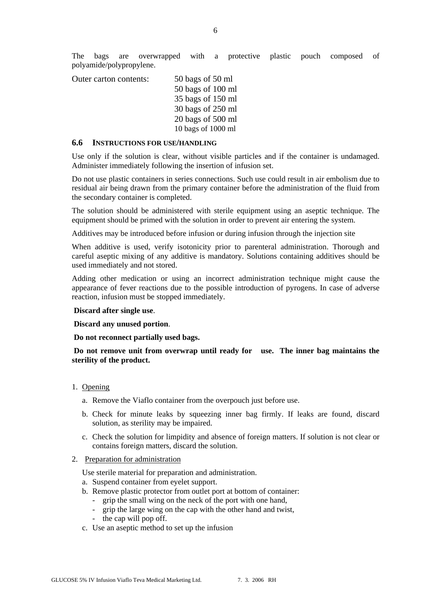The bags are overwrapped with a protective plastic pouch composed of polyamide/polypropylene.

Outer carton contents: 50 bags of 50 ml 50 bags of 100 ml 35 bags of 150 ml 30 bags of 250 ml 20 bags of 500 ml 10 bags of 1000 ml

#### **6.6 INSTRUCTIONS FOR USE/HANDLING**

Use only if the solution is clear, without visible particles and if the container is undamaged. Administer immediately following the insertion of infusion set.

Do not use plastic containers in series connections. Such use could result in air embolism due to residual air being drawn from the primary container before the administration of the fluid from the secondary container is completed.

The solution should be administered with sterile equipment using an aseptic technique. The equipment should be primed with the solution in order to prevent air entering the system.

Additives may be introduced before infusion or during infusion through the injection site

When additive is used, verify isotonicity prior to parenteral administration. Thorough and careful aseptic mixing of any additive is mandatory. Solutions containing additives should be used immediately and not stored.

Adding other medication or using an incorrect administration technique might cause the appearance of fever reactions due to the possible introduction of pyrogens. In case of adverse reaction, infusion must be stopped immediately.

#### **Discard after single use**.

**Discard any unused portion**.

 **Do not reconnect partially used bags.** 

 **Do not remove unit from overwrap until ready for use. The inner bag maintains the sterility of the product.** 

- 1. Opening
	- a. Remove the Viaflo container from the overpouch just before use.
	- b. Check for minute leaks by squeezing inner bag firmly. If leaks are found, discard solution, as sterility may be impaired.
	- c. Check the solution for limpidity and absence of foreign matters. If solution is not clear or contains foreign matters, discard the solution.
- 2. Preparation for administration

Use sterile material for preparation and administration.

- a. Suspend container from eyelet support.
- b. Remove plastic protector from outlet port at bottom of container:
	- grip the small wing on the neck of the port with one hand,
	- grip the large wing on the cap with the other hand and twist,
	- the cap will pop off.
- c. Use an aseptic method to set up the infusion